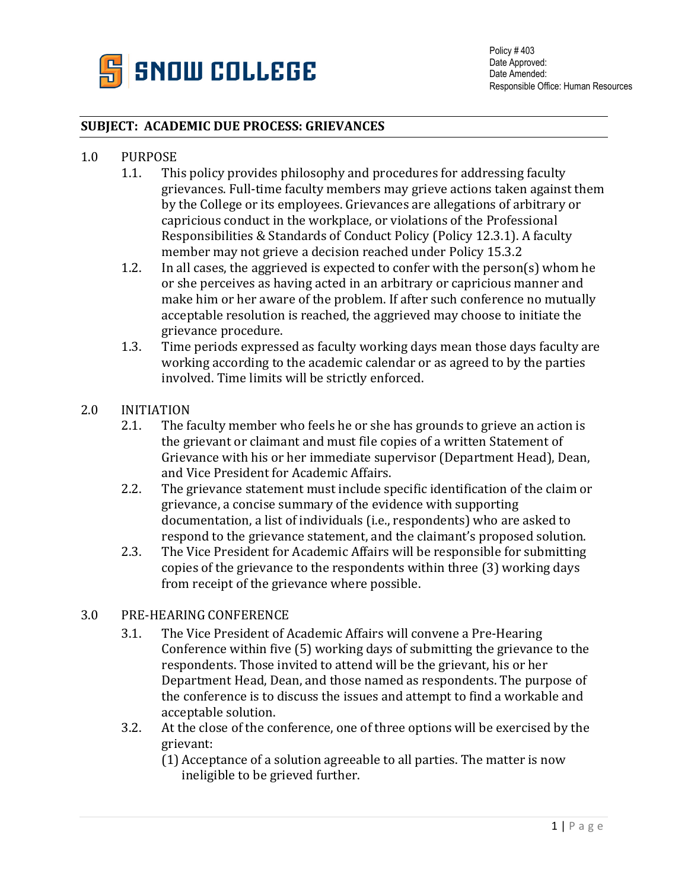

### **SUBJECT: ACADEMIC DUE PROCESS: GRIEVANCES**

# 1.0 PURPOSE<br>1.1. Thi

- This policy provides philosophy and procedures for addressing faculty grievances. Full-time faculty members may grieve actions taken against them by the College or its employees. Grievances are allegations of arbitrary or capricious conduct in the workplace, or violations of the Professional Responsibilities & Standards of Conduct Policy (Policy 12.3.1). A faculty member may not grieve a decision reached under Policy 15.3.2
- 1.2. In all cases, the aggrieved is expected to confer with the person(s) whom he or she perceives as having acted in an arbitrary or capricious manner and make him or her aware of the problem. If after such conference no mutually acceptable resolution is reached, the aggrieved may choose to initiate the grievance procedure.
- 1.3. Time periods expressed as faculty working days mean those days faculty are working according to the academic calendar or as agreed to by the parties involved. Time limits will be strictly enforced.

## 2.0 INITIATION<br>2.1. The fa

- The faculty member who feels he or she has grounds to grieve an action is the grievant or claimant and must file copies of a written Statement of Grievance with his or her immediate supervisor (Department Head), Dean, and Vice President for Academic Affairs.
- 2.2. The grievance statement must include specific identification of the claim or grievance, a concise summary of the evidence with supporting documentation, a list of individuals (i.e., respondents) who are asked to respond to the grievance statement, and the claimant's proposed solution.
- 2.3. The Vice President for Academic Affairs will be responsible for submitting copies of the grievance to the respondents within three (3) working days from receipt of the grievance where possible.

#### 3.0 PRE-HEARING CONFERENCE

- 3.1. The Vice President of Academic Affairs will convene a Pre-Hearing Conference within five (5) working days of submitting the grievance to the respondents. Those invited to attend will be the grievant, his or her Department Head, Dean, and those named as respondents. The purpose of the conference is to discuss the issues and attempt to find a workable and acceptable solution.
- 3.2. At the close of the conference, one of three options will be exercised by the grievant:
	- (1) Acceptance of a solution agreeable to all parties. The matter is now ineligible to be grieved further.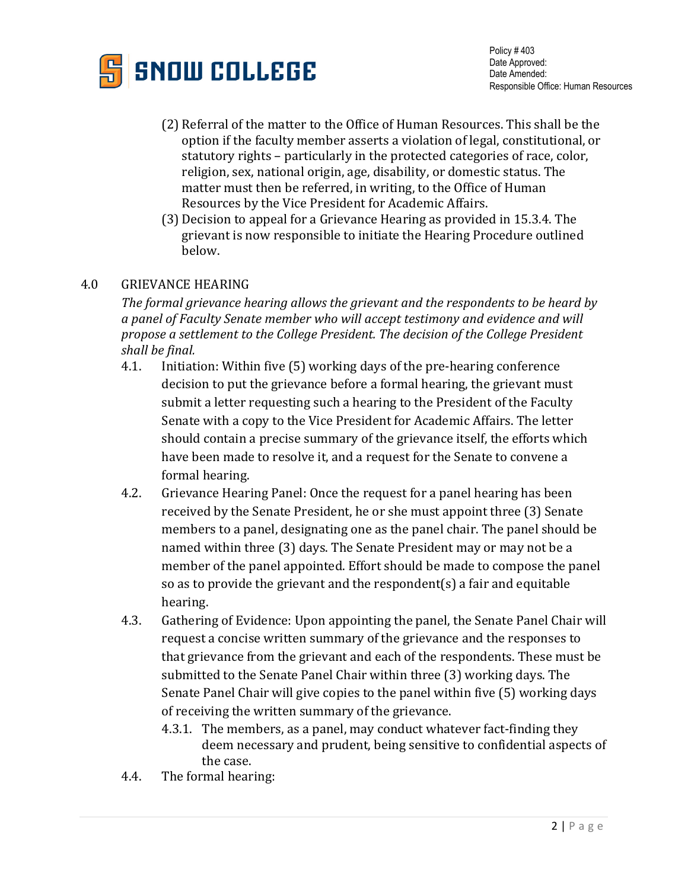

- (2) Referral of the matter to the Office of Human Resources. This shall be the option if the faculty member asserts a violation of legal, constitutional, or statutory rights – particularly in the protected categories of race, color, religion, sex, national origin, age, disability, or domestic status. The matter must then be referred, in writing, to the Office of Human Resources by the Vice President for Academic Affairs.
- (3) Decision to appeal for a Grievance Hearing as provided in 15.3.4. The grievant is now responsible to initiate the Hearing Procedure outlined below.

### 4.0 GRIEVANCE HEARING

*The formal grievance hearing allows the grievant and the respondents to be heard by a panel of Faculty Senate member who will accept testimony and evidence and will propose a settlement to the College President. The decision of the College President shall be final.* 

- 4.1. Initiation: Within five (5) working days of the pre-hearing conference decision to put the grievance before a formal hearing, the grievant must submit a letter requesting such a hearing to the President of the Faculty Senate with a copy to the Vice President for Academic Affairs. The letter should contain a precise summary of the grievance itself, the efforts which have been made to resolve it, and a request for the Senate to convene a formal hearing.
- 4.2. Grievance Hearing Panel: Once the request for a panel hearing has been received by the Senate President, he or she must appoint three (3) Senate members to a panel, designating one as the panel chair. The panel should be named within three (3) days. The Senate President may or may not be a member of the panel appointed. Effort should be made to compose the panel so as to provide the grievant and the respondent(s) a fair and equitable hearing.
- 4.3. Gathering of Evidence: Upon appointing the panel, the Senate Panel Chair will request a concise written summary of the grievance and the responses to that grievance from the grievant and each of the respondents. These must be submitted to the Senate Panel Chair within three (3) working days. The Senate Panel Chair will give copies to the panel within five (5) working days of receiving the written summary of the grievance.
	- 4.3.1. The members, as a panel, may conduct whatever fact-finding they deem necessary and prudent, being sensitive to confidential aspects of the case.
- 4.4. The formal hearing: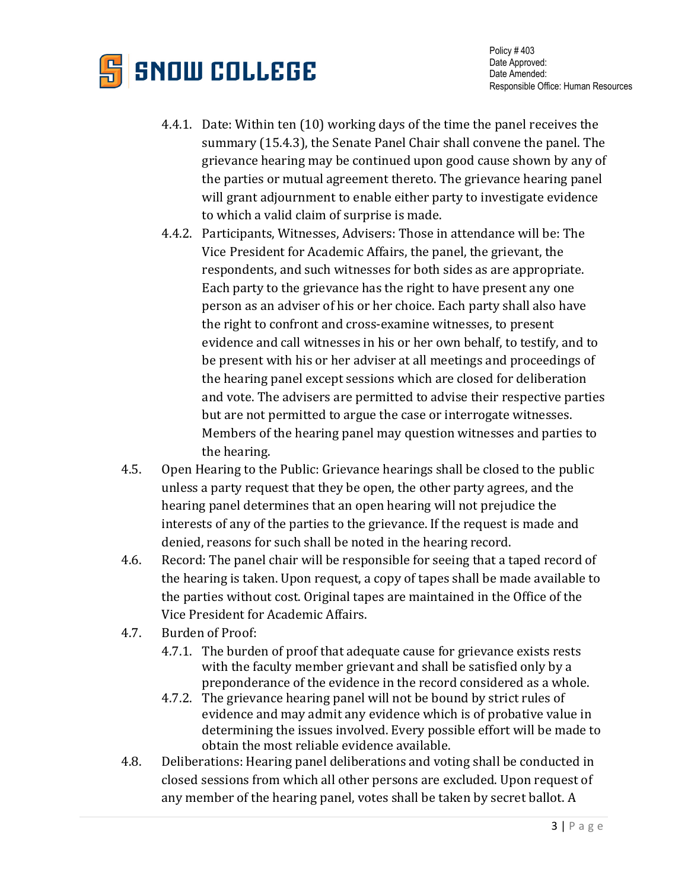

Policy # 403 Date Approved: Date Amended: Responsible Office: Human Resources

- 4.4.1. Date: Within ten (10) working days of the time the panel receives the summary (15.4.3), the Senate Panel Chair shall convene the panel. The grievance hearing may be continued upon good cause shown by any of the parties or mutual agreement thereto. The grievance hearing panel will grant adjournment to enable either party to investigate evidence to which a valid claim of surprise is made.
- 4.4.2. Participants, Witnesses, Advisers: Those in attendance will be: The Vice President for Academic Affairs, the panel, the grievant, the respondents, and such witnesses for both sides as are appropriate. Each party to the grievance has the right to have present any one person as an adviser of his or her choice. Each party shall also have the right to confront and cross-examine witnesses, to present evidence and call witnesses in his or her own behalf, to testify, and to be present with his or her adviser at all meetings and proceedings of the hearing panel except sessions which are closed for deliberation and vote. The advisers are permitted to advise their respective parties but are not permitted to argue the case or interrogate witnesses. Members of the hearing panel may question witnesses and parties to the hearing.
- 4.5. Open Hearing to the Public: Grievance hearings shall be closed to the public unless a party request that they be open, the other party agrees, and the hearing panel determines that an open hearing will not prejudice the interests of any of the parties to the grievance. If the request is made and denied, reasons for such shall be noted in the hearing record.
- 4.6. Record: The panel chair will be responsible for seeing that a taped record of the hearing is taken. Upon request, a copy of tapes shall be made available to the parties without cost. Original tapes are maintained in the Office of the Vice President for Academic Affairs.
- 4.7. Burden of Proof:
	- 4.7.1. The burden of proof that adequate cause for grievance exists rests with the faculty member grievant and shall be satisfied only by a preponderance of the evidence in the record considered as a whole.
	- 4.7.2. The grievance hearing panel will not be bound by strict rules of evidence and may admit any evidence which is of probative value in determining the issues involved. Every possible effort will be made to obtain the most reliable evidence available.
- 4.8. Deliberations: Hearing panel deliberations and voting shall be conducted in closed sessions from which all other persons are excluded. Upon request of any member of the hearing panel, votes shall be taken by secret ballot. A